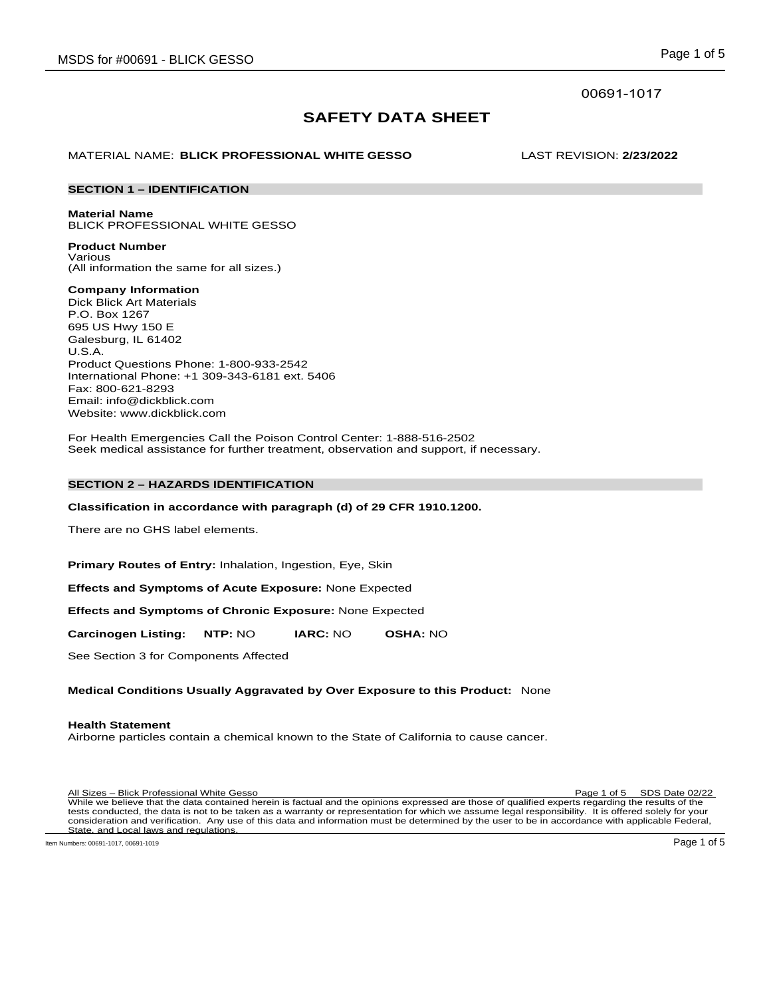## 00691-1017

# **SAFETY DATA SHEET**

## MATERIAL NAME: **BLICK PROFESSIONAL WHITE GESSO** LAST REVISION: **2/23/2022**

## **SECTION 1 – IDENTIFICATION**

**Material Name** BLICK PROFESSIONAL WHITE GESSO

**Product Number** Various

(All information the same for all sizes.)

**Company Information**

Dick Blick Art Materials P.O. Box 1267 695 US Hwy 150 E Galesburg, IL 61402 U.S.A. Product Questions Phone: 1-800-933-2542 International Phone: +1 309-343-6181 ext. 5406 Fax: 800-621-8293 Email: info@dickblick.com Website: www.dickblick.com

For Health Emergencies Call the Poison Control Center: 1-888-516-2502 Seek medical assistance for further treatment, observation and support, if necessary.

## **SECTION 2 – HAZARDS IDENTIFICATION**

## **Classification in accordance with paragraph (d) of 29 CFR 1910.1200.**

There are no GHS label elements.

**Primary Routes of Entry:** Inhalation, Ingestion, Eye, Skin

**Effects and Symptoms of Acute Exposure:** None Expected

**Effects and Symptoms of Chronic Exposure:** None Expected

**Carcinogen Listing: NTP:** NO **IARC:** NO **OSHA:** NO

See Section 3 for Components Affected

## **Medical Conditions Usually Aggravated by Over Exposure to this Product:** None

## **Health Statement**

Airborne particles contain a chemical known to the State of California to cause cancer.

All Sizes – Blick Professional White Gesso Page 1 of 5 SDS Date 02/22 While we believe that the data contained herein is factual and the opinions expressed are those of qualified experts regarding the results of the tests conducted, the data is not to be taken as a warranty or representation for which we assume legal responsibility. It is offered solely for your consideration and verification. Any use of this data and information must be determined by the user to be in accordance with applicable Federal, State, and Local laws and regulations.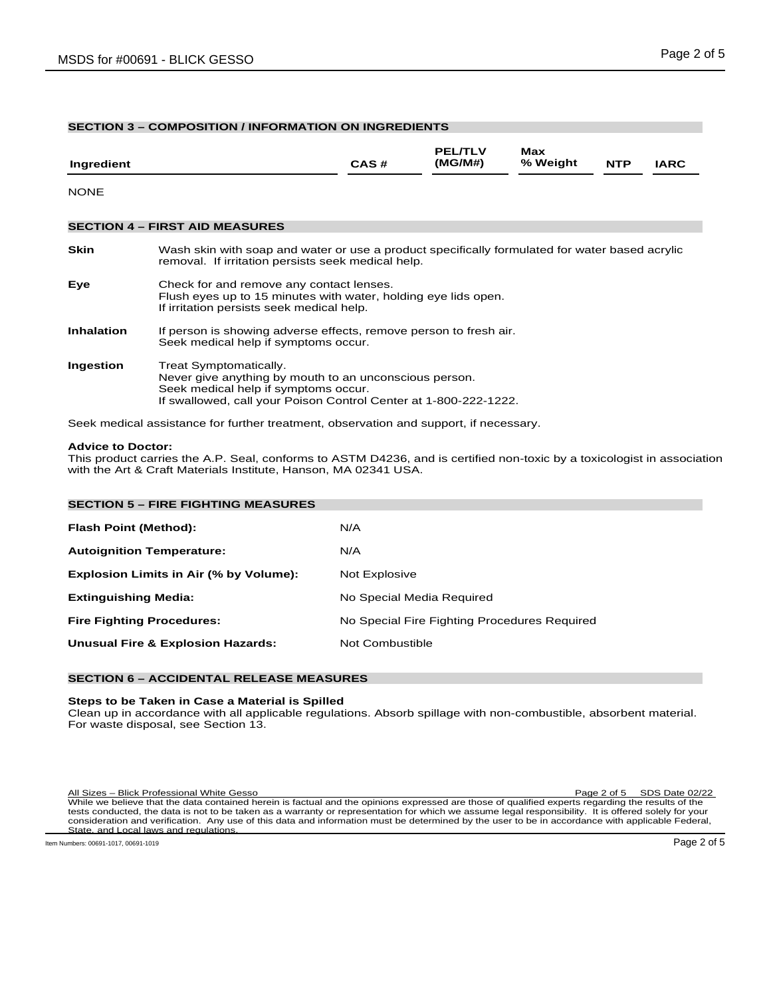## **SECTION 3 – COMPOSITION / INFORMATION ON INGREDIENTS**

| Ingredient        |                                                                                                                                                                                              | CAS# | <b>PEL/TLV</b><br>(MG/M#) | Max<br>% Weight | <b>NTP</b> | <b>IARC</b> |
|-------------------|----------------------------------------------------------------------------------------------------------------------------------------------------------------------------------------------|------|---------------------------|-----------------|------------|-------------|
| <b>NONE</b>       |                                                                                                                                                                                              |      |                           |                 |            |             |
|                   | <b>SECTION 4 - FIRST AID MEASURES</b>                                                                                                                                                        |      |                           |                 |            |             |
| Skin              | Wash skin with soap and water or use a product specifically formulated for water based acrylic<br>removal. If irritation persists seek medical help.                                         |      |                           |                 |            |             |
| Eye               | Check for and remove any contact lenses.<br>Flush eyes up to 15 minutes with water, holding eye lids open.<br>If irritation persists seek medical help.                                      |      |                           |                 |            |             |
| <b>Inhalation</b> | If person is showing adverse effects, remove person to fresh air.<br>Seek medical help if symptoms occur.                                                                                    |      |                           |                 |            |             |
| Ingestion         | Treat Symptomatically.<br>Never give anything by mouth to an unconscious person.<br>Seek medical help if symptoms occur.<br>If swallowed, call your Poison Control Center at 1-800-222-1222. |      |                           |                 |            |             |

Seek medical assistance for further treatment, observation and support, if necessary.

## **Advice to Doctor:**

This product carries the A.P. Seal, conforms to ASTM D4236, and is certified non-toxic by a toxicologist in association with the Art & Craft Materials Institute, Hanson, MA 02341 USA.

| <b>SECTION 5 - FIRE FIGHTING MEASURES</b>    |                                              |
|----------------------------------------------|----------------------------------------------|
| <b>Flash Point (Method):</b>                 | N/A                                          |
| <b>Autoignition Temperature:</b>             | N/A                                          |
| Explosion Limits in Air (% by Volume):       | Not Explosive                                |
| <b>Extinguishing Media:</b>                  | No Special Media Required                    |
| <b>Fire Fighting Procedures:</b>             | No Special Fire Fighting Procedures Required |
| <b>Unusual Fire &amp; Explosion Hazards:</b> | Not Combustible                              |
|                                              |                                              |

## **SECTION 6 – ACCIDENTAL RELEASE MEASURES**

## **Steps to be Taken in Case a Material is Spilled**

Clean up in accordance with all applicable regulations. Absorb spillage with non-combustible, absorbent material. For waste disposal, see Section 13.

All Sizes – Blick Professional White Gesso Page 2 of 5 SDS Date 02/22 While we believe that the data contained herein is factual and the opinions expressed are those of qualified experts regarding the results of the tests conducted, the data is not to be taken as a warranty or representation for which we assume legal responsibility. It is offered solely for your consideration and verification. Any use of this data and information must be determined by the user to be in accordance with applicable Federal, State, and Local laws and regulations.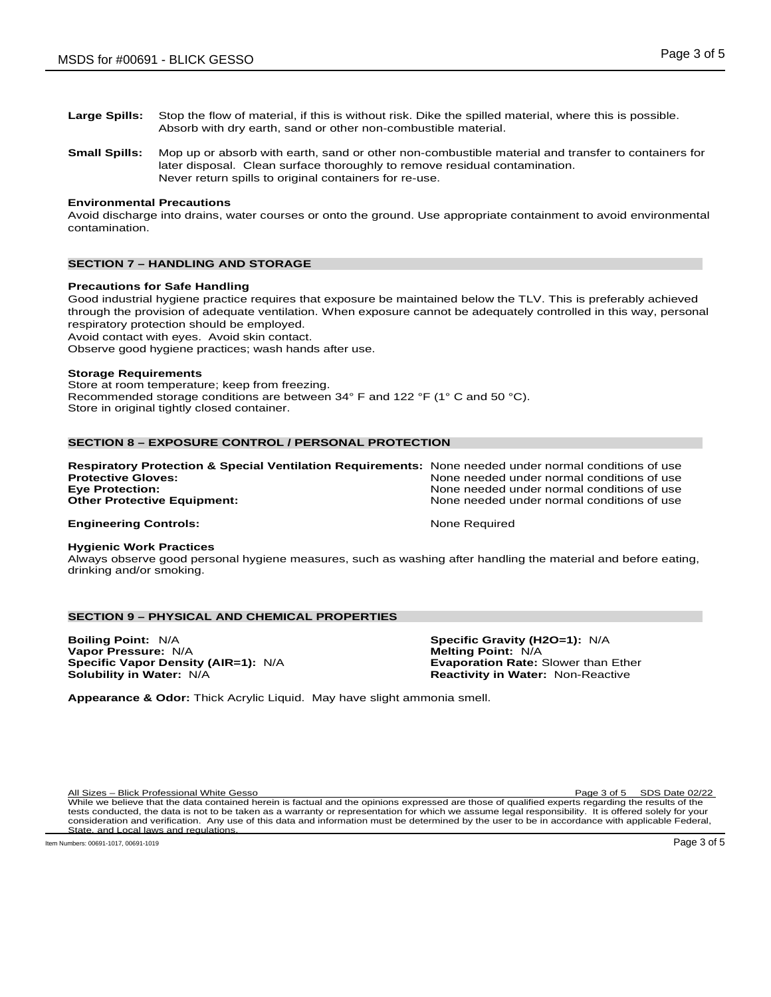- **Large Spills:** Stop the flow of material, if this is without risk. Dike the spilled material, where this is possible. Absorb with dry earth, sand or other non-combustible material.
- **Small Spills:** Mop up or absorb with earth, sand or other non-combustible material and transfer to containers for later disposal. Clean surface thoroughly to remove residual contamination. Never return spills to original containers for re-use.

## **Environmental Precautions**

Avoid discharge into drains, water courses or onto the ground. Use appropriate containment to avoid environmental contamination.

## **SECTION 7 – HANDLING AND STORAGE**

#### **Precautions for Safe Handling**

Good industrial hygiene practice requires that exposure be maintained below the TLV. This is preferably achieved through the provision of adequate ventilation. When exposure cannot be adequately controlled in this way, personal respiratory protection should be employed.

Avoid contact with eyes. Avoid skin contact.

Observe good hygiene practices; wash hands after use.

#### **Storage Requirements**

Store at room temperature; keep from freezing. Recommended storage conditions are between 34° F and 122 °F (1° C and 50 °C). Store in original tightly closed container.

## **SECTION 8 – EXPOSURE CONTROL / PERSONAL PROTECTION**

| Respiratory Protection & Special Ventilation Requirements: None needed under normal conditions of use |                                            |
|-------------------------------------------------------------------------------------------------------|--------------------------------------------|
| <b>Protective Gloves:</b>                                                                             | None needed under normal conditions of use |
| <b>Eve Protection:</b>                                                                                | None needed under normal conditions of use |
| <b>Other Protective Equipment:</b>                                                                    | None needed under normal conditions of use |
| <b>Engineering Controls:</b>                                                                          | None Required                              |

#### **Hygienic Work Practices**

Always observe good personal hygiene measures, such as washing after handling the material and before eating, drinking and/or smoking.

## **SECTION 9 – PHYSICAL AND CHEMICAL PROPERTIES**

**Boiling Point:** N/A **Specific Gravity (H2O=1):** N/A **Vapor Pressure:** N/A **Melting Point:** N/A **Melting Point:** N/A **Specific Vapor Density (AIR=1):** N/A **Melting Point:** Exaporation Rate: Slower than Ether **Specific Vapor Density (AIR=1): N/A Solubility in Water: N/A** 

**Reactivity in Water: Non-Reactive** 

**Appearance & Odor:** Thick Acrylic Liquid. May have slight ammonia smell.

All Sizes – Blick Professional White Gesso Page 3 of 5 SDS Date 02/22 While we believe that the data contained herein is factual and the opinions expressed are those of qualified experts regarding the results of the tests conducted, the data is not to be taken as a warranty or representation for which we assume legal responsibility. It is offered solely for your consideration and verification. Any use of this data and information must be determined by the user to be in accordance with applicable Federal, State, and Local laws and regulations.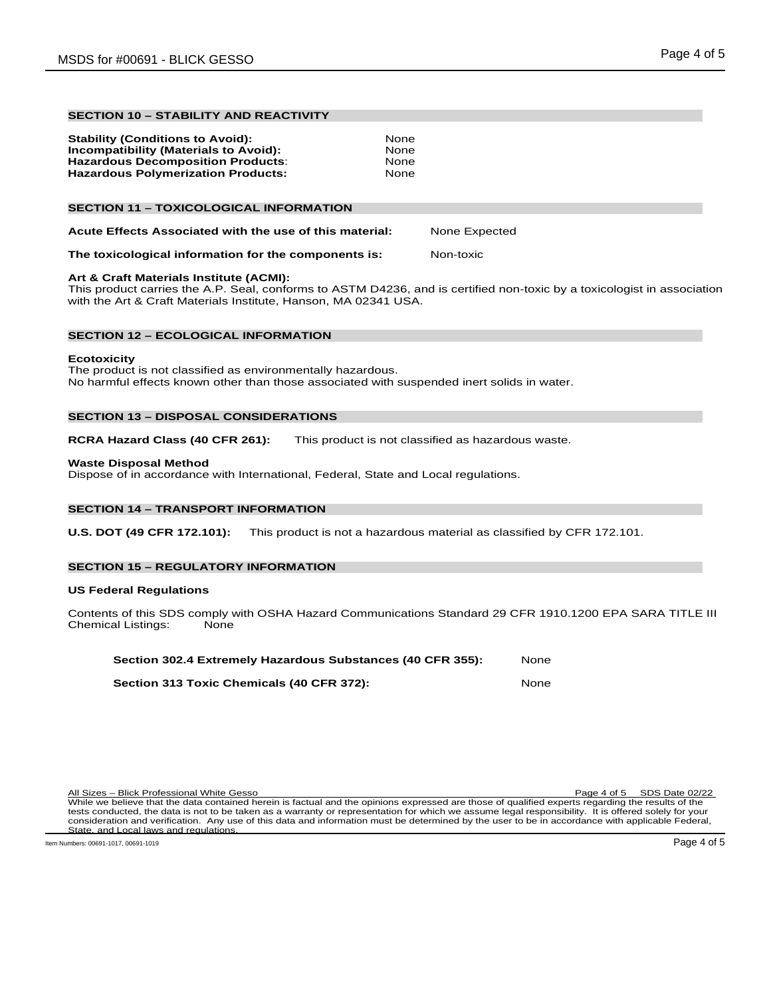## **SECTION 10 – STABILITY AND REACTIVITY**

| <b>Stability (Conditions to Avoid):</b>   | None |
|-------------------------------------------|------|
| Incompatibility (Materials to Avoid):     | None |
| <b>Hazardous Decomposition Products:</b>  | None |
| <b>Hazardous Polymerization Products:</b> | None |
|                                           |      |

## **SECTION 11 – TOXICOLOGICAL INFORMATION**

| Acute Effects Associated with the use of this material: | None Expected |
|---------------------------------------------------------|---------------|
|---------------------------------------------------------|---------------|

## **The toxicological information for the components is:** Non-toxic

## **Art & Craft Materials Institute (ACMI):**

This product carries the A.P. Seal, conforms to ASTM D4236, and is certified non-toxic by a toxicologist in association with the Art & Craft Materials Institute, Hanson, MA 02341 USA.

## **SECTION 12 – ECOLOGICAL INFORMATION**

## **Ecotoxicity**

The product is not classified as environmentally hazardous. No harmful effects known other than those associated with suspended inert solids in water.

## **SECTION 13 – DISPOSAL CONSIDERATIONS**

**RCRA Hazard Class (40 CFR 261):** This product is not classified as hazardous waste.

## **Waste Disposal Method**

Dispose of in accordance with International, Federal, State and Local regulations.

## **SECTION 14 – TRANSPORT INFORMATION**

**U.S. DOT (49 CFR 172.101):** This product is not a hazardous material as classified by CFR 172.101.

## **SECTION 15 – REGULATORY INFORMATION**

### **US Federal Regulations**

Contents of this SDS comply with OSHA Hazard Communications Standard 29 CFR 1910.1200 EPA SARA TITLE III<br>Chemical Listings: None Chemical Listings:

| Section 302.4 Extremely Hazardous Substances (40 CFR 355): | None  |
|------------------------------------------------------------|-------|
| Section 313 Toxic Chemicals (40 CFR 372):                  | None. |

| All Sizes – Blick Professional White Gesso                                                                                                           | Page 4 of 5 SDS Date 02/22 |
|------------------------------------------------------------------------------------------------------------------------------------------------------|----------------------------|
| While we believe that the data contained herein is factual and the opinions expressed are those of qualified experts regarding the results of the    |                            |
| tests conducted, the data is not to be taken as a warranty or representation for which we assume legal responsibility. It is offered solely for your |                            |
| consideration and verification. Any use of this data and information must be determined by the user to be in accordance with applicable Federal,     |                            |
| State, and Local laws and regulations.                                                                                                               |                            |